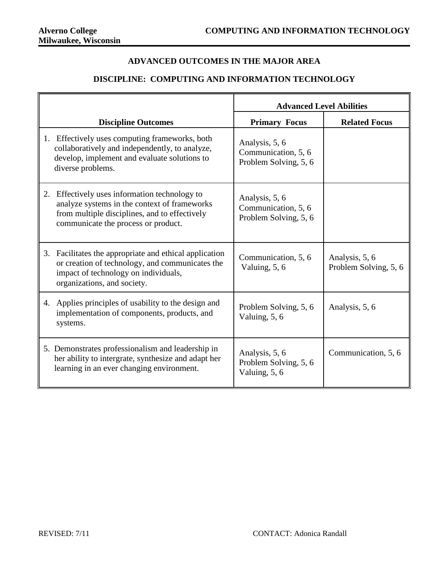## **ADVANCED OUTCOMES IN THE MAJOR AREA**

## **DISCIPLINE: COMPUTING AND INFORMATION TECHNOLOGY**

|                                                                                                                                                                                          | <b>Advanced Level Abilities</b>                                |                                         |  |  |
|------------------------------------------------------------------------------------------------------------------------------------------------------------------------------------------|----------------------------------------------------------------|-----------------------------------------|--|--|
| <b>Discipline Outcomes</b>                                                                                                                                                               | <b>Primary Focus</b>                                           | <b>Related Focus</b>                    |  |  |
| Effectively uses computing frameworks, both<br>1.<br>collaboratively and independently, to analyze,<br>develop, implement and evaluate solutions to<br>diverse problems.                 | Analysis, 5, 6<br>Communication, 5, 6<br>Problem Solving, 5, 6 |                                         |  |  |
| Effectively uses information technology to<br>2.<br>analyze systems in the context of frameworks<br>from multiple disciplines, and to effectively<br>communicate the process or product. | Analysis, 5, 6<br>Communication, 5, 6<br>Problem Solving, 5, 6 |                                         |  |  |
| Facilitates the appropriate and ethical application<br>3.<br>or creation of technology, and communicates the<br>impact of technology on individuals,<br>organizations, and society.      | Communication, 5, 6<br>Valuing, 5, 6                           | Analysis, 5, 6<br>Problem Solving, 5, 6 |  |  |
| Applies principles of usability to the design and<br>4.<br>implementation of components, products, and<br>systems.                                                                       | Problem Solving, 5, 6<br>Valuing, 5, 6                         | Analysis, 5, 6                          |  |  |
| 5. Demonstrates professionalism and leadership in<br>her ability to intergrate, synthesize and adapt her<br>learning in an ever changing environment.                                    | Analysis, 5, 6<br>Problem Solving, 5, 6<br>Valuing, 5, 6       | Communication, 5, 6                     |  |  |